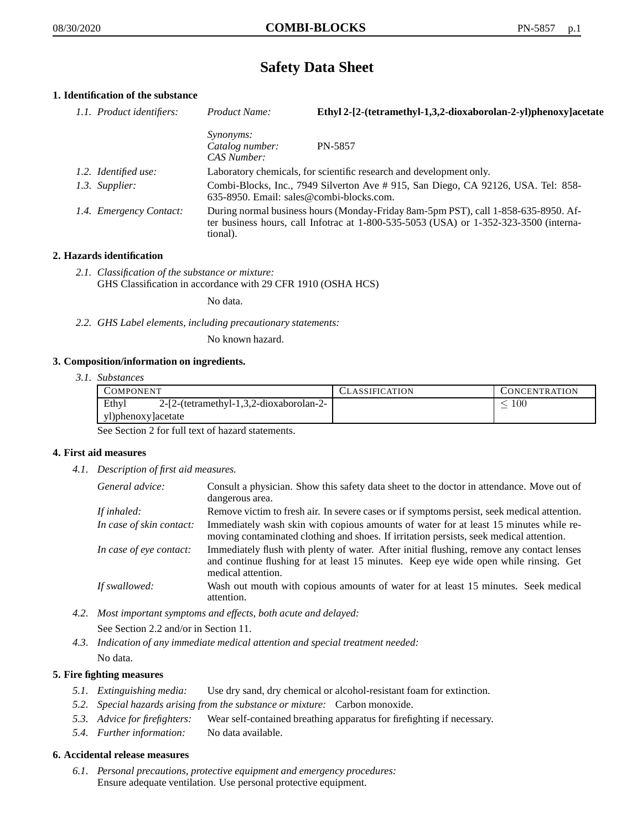# **Safety Data Sheet**

## **1. Identification of the substance**

| 1.1. Product identifiers: | Product Name:                                                                                                                                                                           | Ethyl 2-[2-(tetramethyl-1,3,2-dioxaborolan-2-yl)phenoxy]acetate |
|---------------------------|-----------------------------------------------------------------------------------------------------------------------------------------------------------------------------------------|-----------------------------------------------------------------|
|                           | <i>Synonyms:</i><br>Catalog number:<br>CAS Number:                                                                                                                                      | PN-5857                                                         |
| 1.2. Identified use:      | Laboratory chemicals, for scientific research and development only.                                                                                                                     |                                                                 |
| 1.3. Supplier:            | Combi-Blocks, Inc., 7949 Silverton Ave #915, San Diego, CA 92126, USA. Tel: 858-<br>635-8950. Email: sales@combi-blocks.com.                                                            |                                                                 |
| 1.4. Emergency Contact:   | During normal business hours (Monday-Friday 8am-5pm PST), call 1-858-635-8950. Af-<br>ter business hours, call Infotrac at 1-800-535-5053 (USA) or 1-352-323-3500 (interna-<br>tional). |                                                                 |

## **2. Hazards identification**

*2.1. Classification of the substance or mixture:* GHS Classification in accordance with 29 CFR 1910 (OSHA HCS)

No data.

*2.2. GHS Label elements, including precautionary statements:*

No known hazard.

#### **3. Composition/information on ingredients.**

*3.1. Substances*

| COMPONENT                                        | CLASSIFICATION | CONCENTRATION |
|--------------------------------------------------|----------------|---------------|
| Ethyl<br>2-[2-(tetramethyl-1,3,2-dioxaborolan-2- |                | LOO           |
| yl)phenoxy]acetate                               |                |               |

See Section 2 for full text of hazard statements.

#### **4. First aid measures**

*4.1. Description of first aid measures.*

| General advice:          | Consult a physician. Show this safety data sheet to the doctor in attendance. Move out of<br>dangerous area.                                                                                            |
|--------------------------|---------------------------------------------------------------------------------------------------------------------------------------------------------------------------------------------------------|
| If inhaled:              | Remove victim to fresh air. In severe cases or if symptoms persist, seek medical attention.                                                                                                             |
| In case of skin contact: | Immediately wash skin with copious amounts of water for at least 15 minutes while re-<br>moving contaminated clothing and shoes. If irritation persists, seek medical attention.                        |
| In case of eye contact:  | Immediately flush with plenty of water. After initial flushing, remove any contact lenses<br>and continue flushing for at least 15 minutes. Keep eye wide open while rinsing. Get<br>medical attention. |
| If swallowed:            | Wash out mouth with copious amounts of water for at least 15 minutes. Seek medical<br>attention.                                                                                                        |

- *4.2. Most important symptoms and effects, both acute and delayed:* See Section 2.2 and/or in Section 11.
- *4.3. Indication of any immediate medical attention and special treatment needed:* No data.

## **5. Fire fighting measures**

- *5.1. Extinguishing media:* Use dry sand, dry chemical or alcohol-resistant foam for extinction.
- *5.2. Special hazards arising from the substance or mixture:* Carbon monoxide.
- *5.3. Advice for firefighters:* Wear self-contained breathing apparatus for firefighting if necessary.
- *5.4. Further information:* No data available.

#### **6. Accidental release measures**

*6.1. Personal precautions, protective equipment and emergency procedures:* Ensure adequate ventilation. Use personal protective equipment.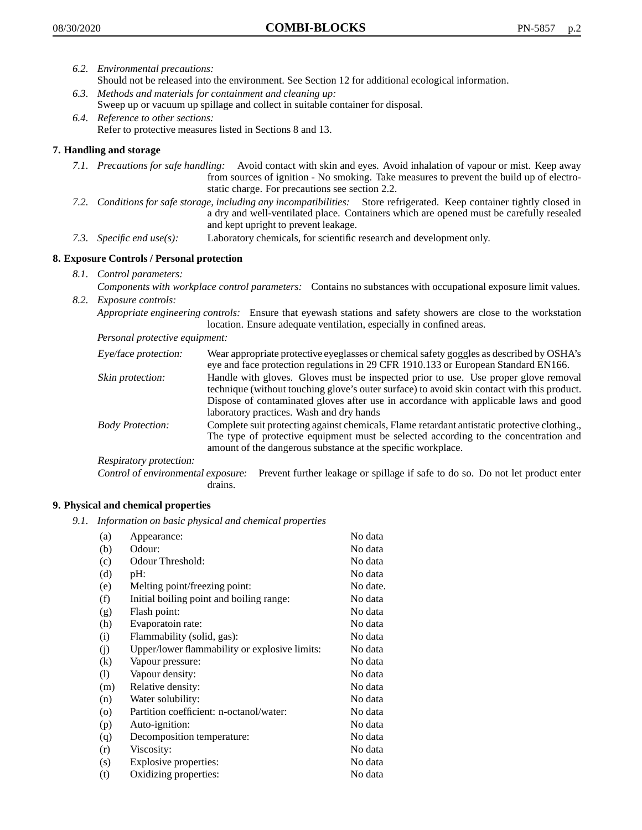- *6.2. Environmental precautions:*
	- Should not be released into the environment. See Section 12 for additional ecological information.
- *6.3. Methods and materials for containment and cleaning up:* Sweep up or vacuum up spillage and collect in suitable container for disposal.
- *6.4. Reference to other sections:* Refer to protective measures listed in Sections 8 and 13.

## **7. Handling and storage**

- *7.1. Precautions for safe handling:* Avoid contact with skin and eyes. Avoid inhalation of vapour or mist. Keep away from sources of ignition - No smoking. Take measures to prevent the build up of electrostatic charge. For precautions see section 2.2.
- *7.2. Conditions for safe storage, including any incompatibilities:* Store refrigerated. Keep container tightly closed in a dry and well-ventilated place. Containers which are opened must be carefully resealed and kept upright to prevent leakage.
- *7.3. Specific end use(s):* Laboratory chemicals, for scientific research and development only.

## **8. Exposure Controls / Personal protection**

*8.1. Control parameters:*

*Components with workplace control parameters:* Contains no substances with occupational exposure limit values. *8.2. Exposure controls:*

*Appropriate engineering controls:* Ensure that eyewash stations and safety showers are close to the workstation location. Ensure adequate ventilation, especially in confined areas.

*Personal protective equipment:*

| Eye/face protection:    | Wear appropriate protective eyeglasses or chemical safety goggles as described by OSHA's<br>eye and face protection regulations in 29 CFR 1910.133 or European Standard EN166.                                                                                                                                         |
|-------------------------|------------------------------------------------------------------------------------------------------------------------------------------------------------------------------------------------------------------------------------------------------------------------------------------------------------------------|
| Skin protection:        | Handle with gloves. Gloves must be inspected prior to use. Use proper glove removal<br>technique (without touching glove's outer surface) to avoid skin contact with this product.<br>Dispose of contaminated gloves after use in accordance with applicable laws and good<br>laboratory practices. Wash and dry hands |
| <b>Body Protection:</b> | Complete suit protecting against chemicals, Flame retardant antistatic protective clothing.,<br>The type of protective equipment must be selected according to the concentration and<br>amount of the dangerous substance at the specific workplace.                                                                   |
| Respiratory protection: |                                                                                                                                                                                                                                                                                                                        |

Control of environmental exposure: Prevent further leakage or spillage if safe to do so. Do not let product enter drains.

#### **9. Physical and chemical properties**

*9.1. Information on basic physical and chemical properties*

| (a)     | Appearance:                                   | No data  |
|---------|-----------------------------------------------|----------|
| (b)     | Odour:                                        | No data  |
| (c)     | Odour Threshold:                              | No data  |
| (d)     | pH:                                           | No data  |
| (e)     | Melting point/freezing point:                 | No date. |
| (f)     | Initial boiling point and boiling range:      | No data  |
| (g)     | Flash point:                                  | No data  |
| (h)     | Evaporatoin rate:                             | No data  |
| (i)     | Flammability (solid, gas):                    | No data  |
| (j)     | Upper/lower flammability or explosive limits: | No data  |
| (k)     | Vapour pressure:                              | No data  |
| (1)     | Vapour density:                               | No data  |
| (m)     | Relative density:                             | No data  |
| (n)     | Water solubility:                             | No data  |
| $\circ$ | Partition coefficient: n-octanol/water:       | No data  |
| (p)     | Auto-ignition:                                | No data  |
| (q)     | Decomposition temperature:                    | No data  |
| (r)     | Viscosity:                                    | No data  |
| (s)     | Explosive properties:                         | No data  |
| (t)     | Oxidizing properties:                         | No data  |